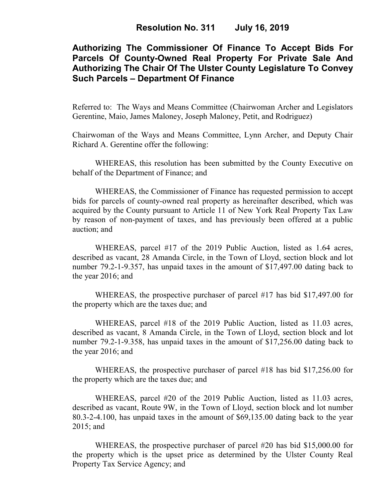# **Authorizing The Commissioner Of Finance To Accept Bids For Parcels Of County-Owned Real Property For Private Sale And Authorizing The Chair Of The Ulster County Legislature To Convey Such Parcels – Department Of Finance**

Referred to: The Ways and Means Committee (Chairwoman Archer and Legislators Gerentine, Maio, James Maloney, Joseph Maloney, Petit, and Rodriguez)

Chairwoman of the Ways and Means Committee, Lynn Archer, and Deputy Chair Richard A. Gerentine offer the following:

WHEREAS, this resolution has been submitted by the County Executive on behalf of the Department of Finance; and

WHEREAS, the Commissioner of Finance has requested permission to accept bids for parcels of county-owned real property as hereinafter described, which was acquired by the County pursuant to Article 11 of New York Real Property Tax Law by reason of non-payment of taxes, and has previously been offered at a public auction; and

WHEREAS, parcel #17 of the 2019 Public Auction, listed as 1.64 acres, described as vacant, 28 Amanda Circle, in the Town of Lloyd, section block and lot number 79.2-1-9.357, has unpaid taxes in the amount of \$17,497.00 dating back to the year 2016; and

WHEREAS, the prospective purchaser of parcel #17 has bid \$17,497.00 for the property which are the taxes due; and

WHEREAS, parcel #18 of the 2019 Public Auction, listed as 11.03 acres, described as vacant, 8 Amanda Circle, in the Town of Lloyd, section block and lot number 79.2-1-9.358, has unpaid taxes in the amount of \$17,256.00 dating back to the year 2016; and

WHEREAS, the prospective purchaser of parcel #18 has bid \$17,256.00 for the property which are the taxes due; and

WHEREAS, parcel #20 of the 2019 Public Auction, listed as 11.03 acres, described as vacant, Route 9W, in the Town of Lloyd, section block and lot number 80.3-2-4.100, has unpaid taxes in the amount of \$69,135.00 dating back to the year 2015; and

WHEREAS, the prospective purchaser of parcel #20 has bid \$15,000.00 for the property which is the upset price as determined by the Ulster County Real Property Tax Service Agency; and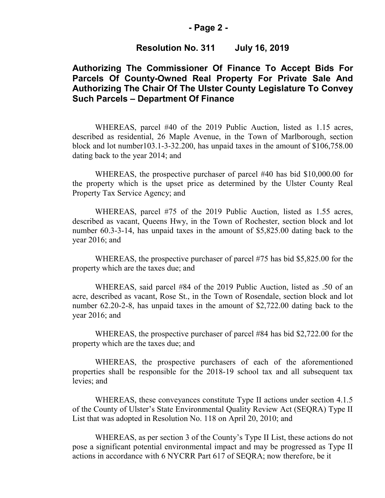#### **- Page 2 -**

### **Resolution No. 311 July 16, 2019**

## **Authorizing The Commissioner Of Finance To Accept Bids For Parcels Of County-Owned Real Property For Private Sale And Authorizing The Chair Of The Ulster County Legislature To Convey Such Parcels – Department Of Finance**

WHEREAS, parcel #40 of the 2019 Public Auction, listed as 1.15 acres, described as residential, 26 Maple Avenue, in the Town of Marlborough, section block and lot number103.1-3-32.200, has unpaid taxes in the amount of \$106,758.00 dating back to the year 2014; and

WHEREAS, the prospective purchaser of parcel #40 has bid \$10,000.00 for the property which is the upset price as determined by the Ulster County Real Property Tax Service Agency; and

WHEREAS, parcel #75 of the 2019 Public Auction, listed as 1.55 acres, described as vacant, Queens Hwy, in the Town of Rochester, section block and lot number 60.3-3-14, has unpaid taxes in the amount of \$5,825.00 dating back to the year 2016; and

WHEREAS, the prospective purchaser of parcel #75 has bid \$5,825.00 for the property which are the taxes due; and

WHEREAS, said parcel #84 of the 2019 Public Auction, listed as .50 of an acre, described as vacant, Rose St., in the Town of Rosendale, section block and lot number 62.20-2-8, has unpaid taxes in the amount of \$2,722.00 dating back to the year 2016; and

WHEREAS, the prospective purchaser of parcel #84 has bid \$2,722.00 for the property which are the taxes due; and

WHEREAS, the prospective purchasers of each of the aforementioned properties shall be responsible for the 2018-19 school tax and all subsequent tax levies; and

WHEREAS, these conveyances constitute Type II actions under section 4.1.5 of the County of Ulster's State Environmental Quality Review Act (SEQRA) Type II List that was adopted in Resolution No. 118 on April 20, 2010; and

WHEREAS, as per section 3 of the County's Type II List, these actions do not pose a significant potential environmental impact and may be progressed as Type II actions in accordance with 6 NYCRR Part 617 of SEQRA; now therefore, be it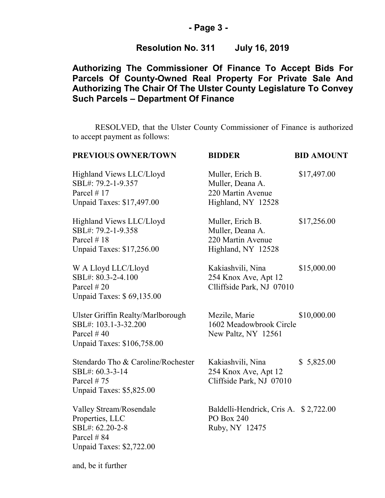### **- Page 3 -**

## **Resolution No. 311 July 16, 2019**

# **Authorizing The Commissioner Of Finance To Accept Bids For Parcels Of County-Owned Real Property For Private Sale And Authorizing The Chair Of The Ulster County Legislature To Convey Such Parcels – Department Of Finance**

RESOLVED, that the Ulster County Commissioner of Finance is authorized to accept payment as follows:

| PREVIOUS OWNER/TOWN                                                                                            | <b>BIDDER</b>                                                                   | <b>BID AMOUNT</b> |
|----------------------------------------------------------------------------------------------------------------|---------------------------------------------------------------------------------|-------------------|
| Highland Views LLC/Lloyd<br>SBL#: 79.2-1-9.357<br>Parcel $# 17$<br>Unpaid Taxes: \$17,497.00                   | Muller, Erich B.<br>Muller, Deana A.<br>220 Martin Avenue<br>Highland, NY 12528 | \$17,497.00       |
| Highland Views LLC/Lloyd<br>SBL#: 79.2-1-9.358<br>Parcel $#18$<br>Unpaid Taxes: \$17,256.00                    | Muller, Erich B.<br>Muller, Deana A.<br>220 Martin Avenue<br>Highland, NY 12528 | \$17,256.00       |
| W A Lloyd LLC/Lloyd<br>SBL#: 80.3-2-4.100<br>Parcel $#20$<br>Unpaid Taxes: \$69,135.00                         | Kakiashvili, Nina<br>254 Knox Ave, Apt 12<br>Clliffside Park, NJ 07010          | \$15,000.00       |
| Ulster Griffin Realty/Marlborough<br>SBL#: 103.1-3-32.200<br>Parcel $#40$<br><b>Unpaid Taxes: \$106,758.00</b> | Mezile, Marie<br>1602 Meadowbrook Circle<br>New Paltz, NY 12561                 | \$10,000.00       |
| Stendardo Tho & Caroline/Rochester<br>SBL#: 60.3-3-14<br>Parcel #75<br>Unpaid Taxes: \$5,825.00                | Kakiashvili, Nina<br>254 Knox Ave, Apt 12<br>Cliffside Park, NJ 07010           | \$5,825.00        |
| Valley Stream/Rosendale<br>Properties, LLC<br>SBL#: 62.20-2-8<br>Parcel #84<br>Unpaid Taxes: \$2,722.00        | Baldelli-Hendrick, Cris A. \$2,722.00<br>PO Box 240<br>Ruby, NY 12475           |                   |
| and, be it further                                                                                             |                                                                                 |                   |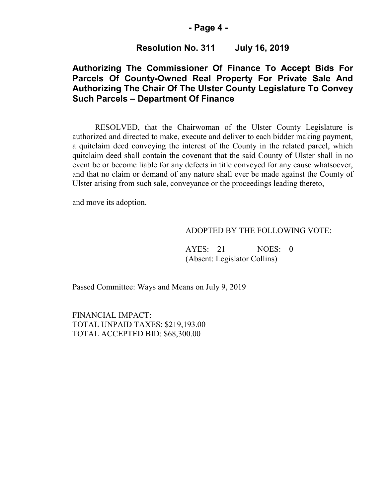### **- Page 4 -**

### **Resolution No. 311 July 16, 2019**

## **Authorizing The Commissioner Of Finance To Accept Bids For Parcels Of County-Owned Real Property For Private Sale And Authorizing The Chair Of The Ulster County Legislature To Convey Such Parcels – Department Of Finance**

RESOLVED, that the Chairwoman of the Ulster County Legislature is authorized and directed to make, execute and deliver to each bidder making payment, a quitclaim deed conveying the interest of the County in the related parcel, which quitclaim deed shall contain the covenant that the said County of Ulster shall in no event be or become liable for any defects in title conveyed for any cause whatsoever, and that no claim or demand of any nature shall ever be made against the County of Ulster arising from such sale, conveyance or the proceedings leading thereto,

and move its adoption.

#### ADOPTED BY THE FOLLOWING VOTE:

AYES: 21 NOES: 0 (Absent: Legislator Collins)

Passed Committee: Ways and Means on July 9, 2019

FINANCIAL IMPACT: TOTAL UNPAID TAXES: \$219,193.00 TOTAL ACCEPTED BID: \$68,300.00